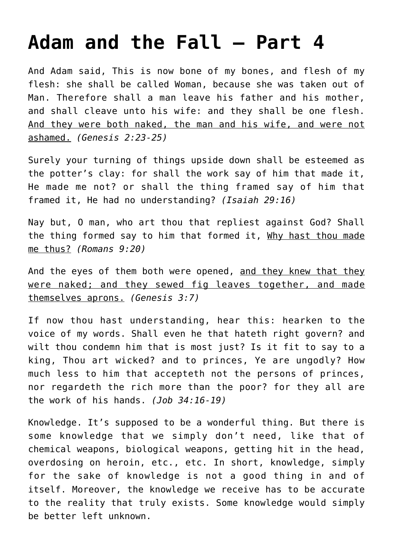## **[Adam and the Fall – Part 4](http://reproachofmen.org/2008/12/adam-and-the-fall-part-4/)**

And Adam said, This is now bone of my bones, and flesh of my flesh: she shall be called Woman, because she was taken out of Man. Therefore shall a man leave his father and his mother, and shall cleave unto his wife: and they shall be one flesh. And they were both naked, the man and his wife, and were not ashamed. *(Genesis 2:23-25)*

Surely your turning of things upside down shall be esteemed as the potter's clay: for shall the work say of him that made it, He made me not? or shall the thing framed say of him that framed it, He had no understanding? *(Isaiah 29:16)*

Nay but, O man, who art thou that repliest against God? Shall the thing formed say to him that formed it, Why hast thou made me thus? *(Romans 9:20)*

And the eyes of them both were opened, and they knew that they were naked; and they sewed fig leaves together, and made themselves aprons. *(Genesis 3:7)*

If now thou hast understanding, hear this: hearken to the voice of my words. Shall even he that hateth right govern? and wilt thou condemn him that is most just? Is it fit to say to a king, Thou art wicked? and to princes, Ye are ungodly? How much less to him that accepteth not the persons of princes, nor regardeth the rich more than the poor? for they all are the work of his hands. *(Job 34:16-19)*

Knowledge. It's supposed to be a wonderful thing. But there is some knowledge that we simply don't need, like that of chemical weapons, biological weapons, getting hit in the head, overdosing on heroin, etc., etc. In short, knowledge, simply for the sake of knowledge is not a good thing in and of itself. Moreover, the knowledge we receive has to be accurate to the reality that truly exists. Some knowledge would simply be better left unknown.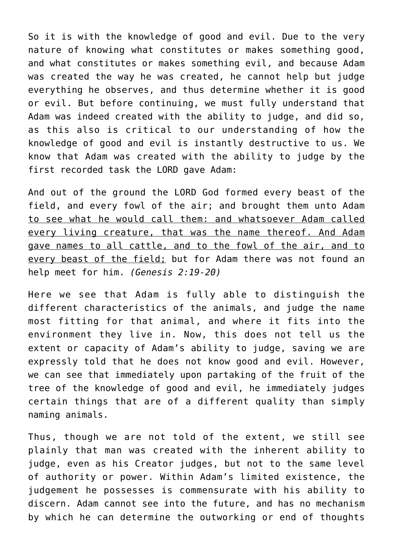So it is with the knowledge of good and evil. Due to the very nature of knowing what constitutes or makes something good, and what constitutes or makes something evil, and because Adam was created the way he was created, he cannot help but judge everything he observes, and thus determine whether it is good or evil. But before continuing, we must fully understand that Adam was indeed created with the ability to judge, and did so, as this also is critical to our understanding of how the knowledge of good and evil is instantly destructive to us. We know that Adam was created with the ability to judge by the first recorded task the LORD gave Adam:

And out of the ground the LORD God formed every beast of the field, and every fowl of the air; and brought them unto Adam to see what he would call them: and whatsoever Adam called every living creature, that was the name thereof. And Adam gave names to all cattle, and to the fowl of the air, and to every beast of the field; but for Adam there was not found an help meet for him. *(Genesis 2:19-20)*

Here we see that Adam is fully able to distinguish the different characteristics of the animals, and judge the name most fitting for that animal, and where it fits into the environment they live in. Now, this does not tell us the extent or capacity of Adam's ability to judge, saving we are expressly told that he does not know good and evil. However, we can see that immediately upon partaking of the fruit of the tree of the knowledge of good and evil, he immediately judges certain things that are of a different quality than simply naming animals.

Thus, though we are not told of the extent, we still see plainly that man was created with the inherent ability to judge, even as his Creator judges, but not to the same level of authority or power. Within Adam's limited existence, the judgement he possesses is commensurate with his ability to discern. Adam cannot see into the future, and has no mechanism by which he can determine the outworking or end of thoughts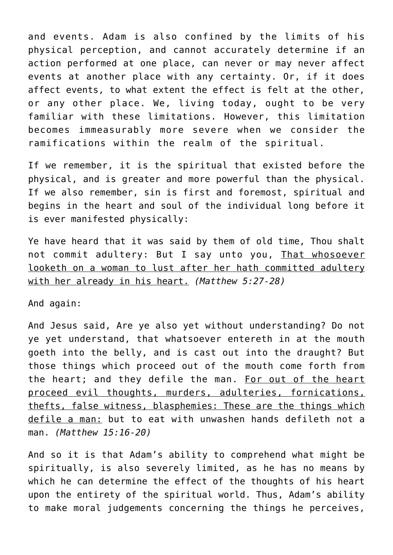and events. Adam is also confined by the limits of his physical perception, and cannot accurately determine if an action performed at one place, can never or may never affect events at another place with any certainty. Or, if it does affect events, to what extent the effect is felt at the other, or any other place. We, living today, ought to be very familiar with these limitations. However, this limitation becomes immeasurably more severe when we consider the ramifications within the realm of the spiritual.

If we remember, it is the spiritual that existed before the physical, and is greater and more powerful than the physical. If we also remember, sin is first and foremost, spiritual and begins in the heart and soul of the individual long before it is ever manifested physically:

Ye have heard that it was said by them of old time, Thou shalt not commit adultery: But I say unto you, That whosoever looketh on a woman to lust after her hath committed adultery with her already in his heart. *(Matthew 5:27-28)*

And again:

And Jesus said, Are ye also yet without understanding? Do not ye yet understand, that whatsoever entereth in at the mouth goeth into the belly, and is cast out into the draught? But those things which proceed out of the mouth come forth from the heart; and they defile the man. For out of the heart proceed evil thoughts, murders, adulteries, fornications, thefts, false witness, blasphemies: These are the things which defile a man: but to eat with unwashen hands defileth not a man. *(Matthew 15:16-20)*

And so it is that Adam's ability to comprehend what might be spiritually, is also severely limited, as he has no means by which he can determine the effect of the thoughts of his heart upon the entirety of the spiritual world. Thus, Adam's ability to make moral judgements concerning the things he perceives,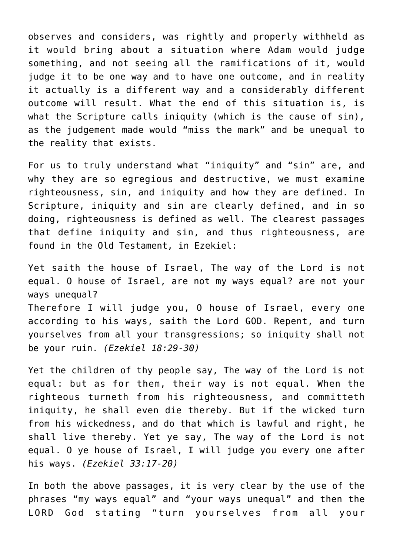observes and considers, was rightly and properly withheld as it would bring about a situation where Adam would judge something, and not seeing all the ramifications of it, would judge it to be one way and to have one outcome, and in reality it actually is a different way and a considerably different outcome will result. What the end of this situation is, is what the Scripture calls iniquity (which is the cause of sin), as the judgement made would "miss the mark" and be unequal to the reality that exists.

For us to truly understand what "iniquity" and "sin" are, and why they are so egregious and destructive, we must examine righteousness, sin, and iniquity and how they are defined. In Scripture, iniquity and sin are clearly defined, and in so doing, righteousness is defined as well. The clearest passages that define iniquity and sin, and thus righteousness, are found in the Old Testament, in Ezekiel:

Yet saith the house of Israel, The way of the Lord is not equal. O house of Israel, are not my ways equal? are not your ways unequal? Therefore I will judge you, O house of Israel, every one

according to his ways, saith the Lord GOD. Repent, and turn yourselves from all your transgressions; so iniquity shall not be your ruin. *(Ezekiel 18:29-30)*

Yet the children of thy people say, The way of the Lord is not equal: but as for them, their way is not equal. When the righteous turneth from his righteousness, and committeth iniquity, he shall even die thereby. But if the wicked turn from his wickedness, and do that which is lawful and right, he shall live thereby. Yet ye say, The way of the Lord is not equal. O ye house of Israel, I will judge you every one after his ways. *(Ezekiel 33:17-20)*

In both the above passages, it is very clear by the use of the phrases "my ways equal" and "your ways unequal" and then the LORD God stating "turn yourselves from all your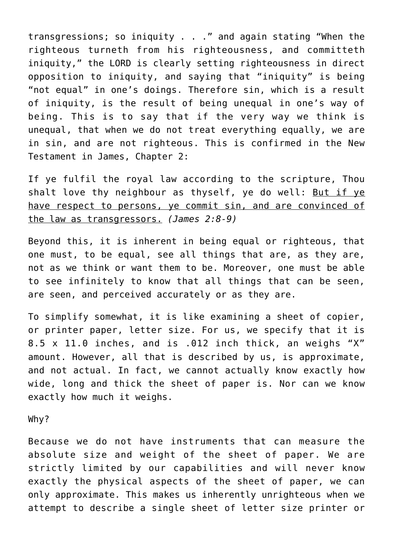transgressions; so iniquity . . ." and again stating "When the righteous turneth from his righteousness, and committeth iniquity," the LORD is clearly setting righteousness in direct opposition to iniquity, and saying that "iniquity" is being "not equal" in one's doings. Therefore sin, which is a result of iniquity, is the result of being unequal in one's way of being. This is to say that if the very way we think is unequal, that when we do not treat everything equally, we are in sin, and are not righteous. This is confirmed in the New Testament in James, Chapter 2:

If ye fulfil the royal law according to the scripture, Thou shalt love thy neighbour as thyself, ye do well: But if ye have respect to persons, ye commit sin, and are convinced of the law as transgressors. *(James 2:8-9)*

Beyond this, it is inherent in being equal or righteous, that one must, to be equal, see all things that are, as they are, not as we think or want them to be. Moreover, one must be able to see infinitely to know that all things that can be seen, are seen, and perceived accurately or as they are.

To simplify somewhat, it is like examining a sheet of copier, or printer paper, letter size. For us, we specify that it is 8.5 x 11.0 inches, and is .012 inch thick, an weighs "X" amount. However, all that is described by us, is approximate, and not actual. In fact, we cannot actually know exactly how wide, long and thick the sheet of paper is. Nor can we know exactly how much it weighs.

Why?

Because we do not have instruments that can measure the absolute size and weight of the sheet of paper. We are strictly limited by our capabilities and will never know exactly the physical aspects of the sheet of paper, we can only approximate. This makes us inherently unrighteous when we attempt to describe a single sheet of letter size printer or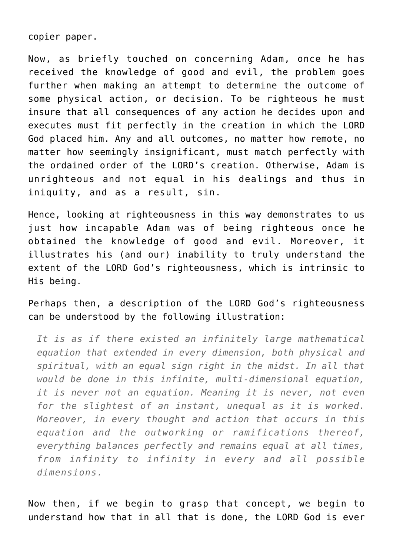copier paper.

Now, as briefly touched on concerning Adam, once he has received the knowledge of good and evil, the problem goes further when making an attempt to determine the outcome of some physical action, or decision. To be righteous he must insure that all consequences of any action he decides upon and executes must fit perfectly in the creation in which the LORD God placed him. Any and all outcomes, no matter how remote, no matter how seemingly insignificant, must match perfectly with the ordained order of the LORD's creation. Otherwise, Adam is unrighteous and not equal in his dealings and thus in iniquity, and as a result, sin.

Hence, looking at righteousness in this way demonstrates to us just how incapable Adam was of being righteous once he obtained the knowledge of good and evil. Moreover, it illustrates his (and our) inability to truly understand the extent of the LORD God's righteousness, which is intrinsic to His being.

Perhaps then, a description of the LORD God's righteousness can be understood by the following illustration:

*It is as if there existed an infinitely large mathematical equation that extended in every dimension, both physical and spiritual, with an equal sign right in the midst. In all that would be done in this infinite, multi-dimensional equation, it is never not an equation. Meaning it is never, not even for the slightest of an instant, unequal as it is worked. Moreover, in every thought and action that occurs in this equation and the outworking or ramifications thereof, everything balances perfectly and remains equal at all times, from infinity to infinity in every and all possible dimensions.*

Now then, if we begin to grasp that concept, we begin to understand how that in all that is done, the LORD God is ever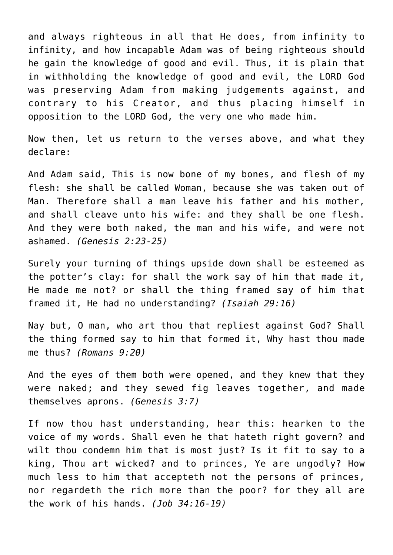and always righteous in all that He does, from infinity to infinity, and how incapable Adam was of being righteous should he gain the knowledge of good and evil. Thus, it is plain that in withholding the knowledge of good and evil, the LORD God was preserving Adam from making judgements against, and contrary to his Creator, and thus placing himself in opposition to the LORD God, the very one who made him.

Now then, let us return to the verses above, and what they declare:

And Adam said, This is now bone of my bones, and flesh of my flesh: she shall be called Woman, because she was taken out of Man. Therefore shall a man leave his father and his mother, and shall cleave unto his wife: and they shall be one flesh. And they were both naked, the man and his wife, and were not ashamed. *(Genesis 2:23-25)*

Surely your turning of things upside down shall be esteemed as the potter's clay: for shall the work say of him that made it, He made me not? or shall the thing framed say of him that framed it, He had no understanding? *(Isaiah 29:16)*

Nay but, O man, who art thou that repliest against God? Shall the thing formed say to him that formed it, Why hast thou made me thus? *(Romans 9:20)*

And the eyes of them both were opened, and they knew that they were naked; and they sewed fig leaves together, and made themselves aprons. *(Genesis 3:7)*

If now thou hast understanding, hear this: hearken to the voice of my words. Shall even he that hateth right govern? and wilt thou condemn him that is most just? Is it fit to say to a king, Thou art wicked? and to princes, Ye are ungodly? How much less to him that accepteth not the persons of princes, nor regardeth the rich more than the poor? for they all are the work of his hands. *(Job 34:16-19)*